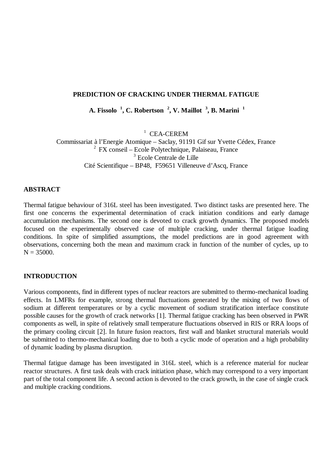#### **PREDICTION OF CRACKING UNDER THERMAL FATIGUE**

 **A. Fissolo <sup>1</sup> , C. Robertson <sup>2</sup> , V. Maillot <sup>3</sup> , B. Marini <sup>1</sup>**

<sup>1</sup> CEA-CEREM

Commissariat à l'Energie Atomique – Saclay, 91191 Gif sur Yvette Cédex, France  $2$  FX conseil – Ecole Polytechnique, Palaiseau, France <sup>3</sup> Ecole Centrale de Lille Cité Scientifique – BP48, F59651 Villeneuve d'Ascq, France

#### **ABSTRACT**

Thermal fatigue behaviour of 316L steel has been investigated. Two distinct tasks are presented here. The first one concerns the experimental determination of crack initiation conditions and early damage accumulation mechanisms. The second one is devoted to crack growth dynamics. The proposed models focused on the experimentally observed case of multiple cracking, under thermal fatigue loading conditions. In spite of simplified assumptions, the model predictions are in good agreement with observations, concerning both the mean and maximum crack in function of the number of cycles, up to  $N = 35000$ .

## **INTRODUCTION**

Various components, find in different types of nuclear reactors are submitted to thermo-mechanical loading effects. In LMFRs for example, strong thermal fluctuations generated by the mixing of two flows of sodium at different temperatures or by a cyclic movement of sodium stratification interface constitute possible causes for the growth of crack networks [1]. Thermal fatigue cracking has been observed in PWR components as well, in spite of relatively small temperature fluctuations observed in RIS or RRA loops of the primary cooling circuit [2]. In future fusion reactors, first wall and blanket structural materials would be submitted to thermo-mechanical loading due to both a cyclic mode of operation and a high probability of dynamic loading by plasma disruption.

Thermal fatigue damage has been investigated in 316L steel, which is a reference material for nuclear reactor structures. A first task deals with crack initiation phase, which may correspond to a very important part of the total component life. A second action is devoted to the crack growth, in the case of single crack and multiple cracking conditions.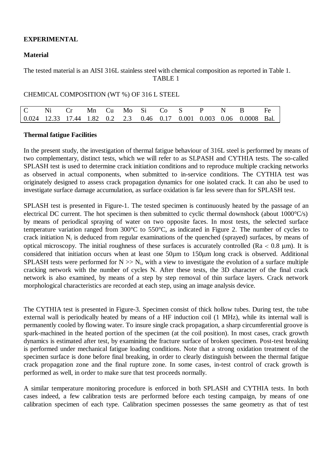# **EXPERIMENTAL**

### **Material**

The tested material is an AISI 316L stainless steel with chemical composition as reported in Table 1. TABLE 1

### CHEMICAL COMPOSITION (WT %) OF 316 L STEEL

|  |  |  |  |  | C Ni Cr Mn Cu Mo Si Co S P N B Fe                                     |  |
|--|--|--|--|--|-----------------------------------------------------------------------|--|
|  |  |  |  |  | 0.024 12.33 17.44 1.82 0.2 2.3 0.46 0.17 0.001 0.003 0.06 0.0008 Bal. |  |

### **Thermal fatigue Facilities**

In the present study, the investigation of thermal fatigue behaviour of 316L steel is performed by means of two complementary, distinct tests, which we will refer to as SLPASH and CYTHIA tests. The so-called SPLASH test is used to determine crack initiation conditions and to reproduce multiple cracking networks as observed in actual components, when submitted to in-service conditions. The CYTHIA test was originately designed to assess crack propagation dynamics for one isolated crack. It can also be used to investigate surface damage accumulation, as surface oxidation is far less severe than for SPLASH test.

SPLASH test is presented in Figure-1. The tested specimen is continuously heated by the passage of an electrical DC current. The hot specimen is then submitted to cyclic thermal downshock (about 1000°C/s) by means of periodical spraying of water on two opposite faces. In most tests, the selected surface temperature variation ranged from 300°C to 550°C, as indicated in Figure 2. The number of cycles to crack initiation  $N_i$  is deduced from regular examinations of the quenched (sprayed) surfaces, by means of optical microscopy. The initial roughness of these surfaces is accurately controlled ( $Ra < 0.8 \mu m$ ). It is considered that initiation occurs when at least one 50 km to 150 km long crack is observed. Additional SPLASH tests were performed for  $N \gg N_i$ , with a view to investigate the evolution of a surface multiple cracking network with the number of cycles N. After these tests, the 3D character of the final crack network is also examined, by means of a step by step removal of thin surface layers. Crack network morphological characteristics are recorded at each step, using an image analysis device.

The CYTHIA test is presented in Figure-3. Specimen consist of thick hollow tubes. During test, the tube external wall is periodically heated by means of a HF induction coil (1 MHz), while its internal wall is permanently cooled by flowing water. To insure single crack propagation, a sharp circumferential groove is spark-machined in the heated portion of the specimen (at the coil position). In most cases, crack growth dynamics is estimated after test, by examining the fracture surface of broken specimen. Post-test breaking is performed under mechanical fatigue loading conditions. Note that a strong oxidation treatment of the specimen surface is done before final breaking, in order to clearly distinguish between the thermal fatigue crack propagation zone and the final rupture zone. In some cases, in-test control of crack growth is performed as well, in order to make sure that test proceeds normally.

A similar temperature monitoring procedure is enforced in both SPLASH and CYTHIA tests. In both cases indeed, a few calibration tests are performed before each testing campaign, by means of one calibration specimen of each type. Calibration specimen possesses the same geometry as that of test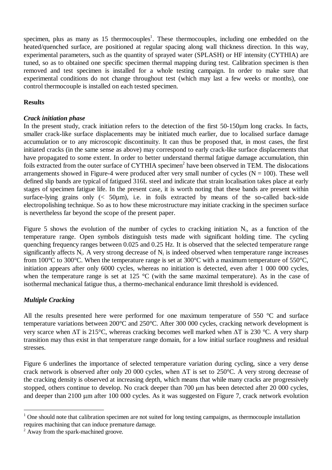specimen, plus as many as 15 thermocouples<sup>1</sup>. These thermocouples, including one embedded on the heated/quenched surface, are positioned at regular spacing along wall thickness direction. In this way, experimental parameters, such as the quantity of sprayed water (SPLASH) or HF intensity (CYTHIA) are tuned, so as to obtained one specific specimen thermal mapping during test. Calibration specimen is then removed and test specimen is installed for a whole testing campaign. In order to make sure that experimental conditions do not change throughout test (which may last a few weeks or months), one control thermocouple is installed on each tested specimen.

## **Results**

## *Crack initiation phase*

In the present study, crack initiation refers to the detection of the first 50-150um long cracks. In facts, smaller crack-like surface displacements may be initiated much earlier, due to localised surface damage accumulation or to any microscopic discontinuity. It can thus be proposed that, in most cases, the first initiated cracks (in the same sense as above) may correspond to early crack-like surface displacements that have propagated to some extent. In order to better understand thermal fatigue damage accumulation, thin foils extracted from the outer surface of CYTHIA specimen<sup>2</sup> have been observed in TEM. The dislocations arrangements showed in Figure-4 were produced after very small number of cycles ( $N = 100$ ). These well defined slip bands are typical of fatigued 316L steel and indicate that strain localisation takes place at early stages of specimen fatigue life. In the present case, it is worth noting that these bands are present within surface-lying grains only  $\langle \langle 50 \mu m \rangle$ , i.e. in foils extracted by means of the so-called back-side electropolishing technique. So as to how these microstructure may initiate cracking in the specimen surface is nevertheless far beyond the scope of the present paper.

Figure 5 shows the evolution of the number of cycles to cracking initiation  $N_i$ , as a function of the temperature range. Open symbols distinguish tests made with significant holding time. The cycling quenching frequency ranges between 0.025 and 0.25 Hz. It is observed that the selected temperature range significantly affects  $N_i$ . A very strong decrease of  $N_i$  is indeed observed when temperature range increases from 100°C to 300°C. When the temperature range is set at 300°C with a maximum temperature of 550°C, initiation appears after only 6000 cycles, whereas no initiation is detected, even after 1 000 000 cycles, when the temperature range is set at 125  $\degree$ C (with the same maximal temperature). As in the case of isothermal mechanical fatigue thus, a thermo-mechanical endurance limit threshold is evidenced.

# *Multiple Cracking*

 $\overline{a}$ 

All the results presented here were performed for one maximum temperature of 550 °C and surface temperature variations between 200°C and 250°C. After 300 000 cycles, cracking network development is very scarce when  $\Delta T$  is 215°C, whereas cracking becomes well marked when  $\Delta T$  is 230 °C. A very sharp transition may thus exist in that temperature range domain, for a low initial surface roughness and residual stresses.

Figure 6 underlines the importance of selected temperature variation during cycling, since a very dense crack network is observed after only 20 000 cycles, when  $\Delta T$  is set to 250°C. A very strong decrease of the cracking density is observed at increasing depth, which means that while many cracks are progressively stopped, others continue to develop. No crack deeper than  $700 \mu m$  has been detected after  $20\,000$  cycles, and deeper than 2100 um after 100 000 cycles. As it was suggested on Figure 7, crack network evolution

 $1$  One should note that calibration specimen are not suited for long testing campaigns, as thermocouple installation requires machining that can induce premature damage.

<sup>&</sup>lt;sup>2</sup> Away from the spark-machined groove.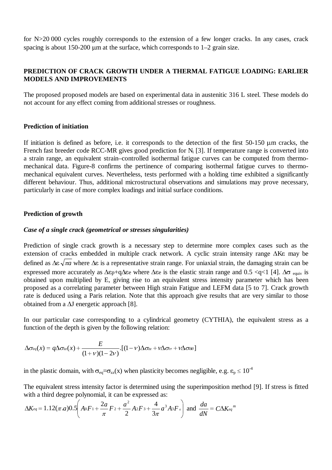for N>20 000 cycles roughly corresponds to the extension of a few longer cracks. In any cases, crack spacing is about 150-200  $\mu$ m at the surface, which corresponds to 1–2 grain size.

# **PREDICTION OF CRACK GROWTH UNDER A THERMAL FATIGUE LOADING: EARLIER MODELS AND IMPROVEMENTS**

The proposed proposed models are based on experimental data in austenitic 316 L steel. These models do not account for any effect coming from additional stresses or roughness.

### **Prediction of initiation**

If initiation is defined as before, i.e. it corresponds to the detection of the first  $50-150 \mu m$  cracks, the French fast breeder code RCC-MR gives good prediction for  $N_i$  [3]. If temperature range is converted into a strain range, an equivalent strain–controlled isothermal fatigue curves can be computed from thermomechanical data. Figure-8 confirms the pertinence of comparing isothermal fatigue curves to thermomechanical equivalent curves. Nevertheless, tests performed with a holding time exhibited a significantly different behaviour. Thus, additional microstructural observations and simulations may prove necessary, particularly in case of more complex loadings and initial surface conditions.

### **Prediction of growth**

#### *Case of a single crack (geometrical or stresses singularities)*

Prediction of single crack growth is a necessary step to determine more complex cases such as the extension of cracks embedded in multiple crack network. A cyclic strain intensity range  $\Delta$ K e may be defined as  $\Delta \varepsilon \sqrt{\pi a}$  where  $\Delta \varepsilon$  is a representative strain range. For uniaxial strain, the damaging strain can be expressed more accurately as  $\Delta \epsilon_p + q \Delta \epsilon_e$  where  $\Delta \epsilon_e$  is the elastic strain range and 0.5 <q<1 [4].  $\Delta \sigma$  equiv is obtained upon multiplied by E, giving rise to an equivalent stress intensity parameter which has been proposed as a correlating parameter between High strain Fatigue and LEFM data [5 to 7]. Crack growth rate is deduced using a Paris relation. Note that this approach give results that are very similar to those obtained from a  $\Delta J$  energetic approach [8].

In our particular case corresponding to a cylindrical geometry (CYTHIA), the equivalent stress as a function of the depth is given by the following relation:

$$
\Delta \sigma_{eq}(x) = q \Delta \sigma_{zz}(x) + \frac{E}{(1+\nu)(1-2\nu)} \cdot [(1-\nu)\Delta \sigma_{zz} + \nu \Delta \sigma_{rr} + \nu \Delta \sigma_{\theta\theta}]
$$

in the plastic domain, with  $\sigma_{eq} = \sigma_{zz}(x)$  when plasticity becomes negligible, e.g.  $\epsilon_p \le 10^{-4}$ 

The equivalent stress intensity factor is determined using the superimposition method [9]. If stress is fitted with a third degree polynomial, it can be expressed as:

$$
\Delta K_{eq} = 1.12(\pi.a)0.5\left(A_0F_1 + \frac{2a}{\pi}F_2 + \frac{a^2}{2}A_2F_3 + \frac{4}{3\pi}a^3A_3F_4\right) \text{ and } \frac{da}{dN} = C\Delta K_{eq}^m
$$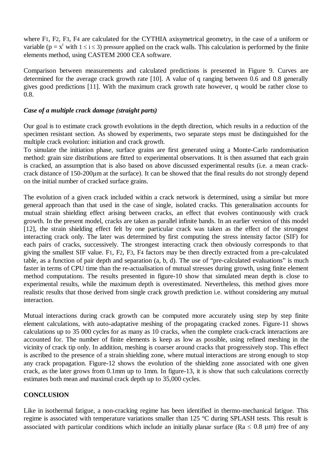where F1, F2, F3, F4 are calculated for the CYTHIA axisymetrical geometry, in the case of a uniform or variable ( $p = x^i$  with  $1 \le i \le 3$ ) pressure applied on the crack walls. This calculation is performed by the finite elements method, using CASTEM 2000 CEA software.

Comparison between measurements and calculated predictions is presented in Figure 9. Curves are determined for the average crack growth rate [10]. A value of q ranging between 0.6 and 0.8 generally gives good predictions [11]. With the maximum crack growth rate however, q would be rather close to 0.8.

### *Case of a multiple crack damage (straight parts)*

Our goal is to estimate crack growth evolutions in the depth direction, which results in a reduction of the specimen resistant section. As showed by experiments, two separate steps must be distinguished for the multiple crack evolution: initiation and crack growth.

To simulate the initiation phase, surface grains are first generated using a Monte-Carlo randomisation method: grain size distributions are fitted to experimental observations. It is then assumed that each grain is cracked, an assumption that is also based on above discussed experimental results (i.e. a mean crackcrack distance of 150-200µm at the surface). It can be showed that the final results do not strongly depend on the initial number of cracked surface grains.

The evolution of a given crack included within a crack network is determined, using a similar but more general approach than that used in the case of single, isolated cracks. This generalisation accounts for mutual strain shielding effect arising between cracks, an effect that evolves continuously with crack growth. In the present model, cracks are taken as parallel infinite bands. In an earlier version of this model [12], the strain shielding effect felt by one particular crack was taken as the effect of the strongest interacting crack only. The later was determined by first computing the stress intensity factor (SIF) for each pairs of cracks, successively. The strongest interacting crack then obviously corresponds to that giving the smallest SIF value. F1, F2, F3, F4 factors may be then directly extracted from a pre-calculated table, as a function of pair depth and separation (a, b, d). The use of "pre-calculated evaluations" is much faster in terms of CPU time than the re-actualisation of mutual stresses during growth, using finite element method computations. The results presented in figure-10 show that simulated mean depth is close to experimental results, while the maximum depth is overestimated. Nevertheless, this method gives more realistic results that those derived from single crack growth prediction i.e. without considering any mutual interaction.

Mutual interactions during crack growth can be computed more accurately using step by step finite element calculations, with auto-adaptative meshing of the propagating cracked zones. Figure-11 shows calculations up to 35 000 cycles for as many as 10 cracks, when the complete crack-crack interactions are accounted for. The number of finite elements is keep as low as possible, using refined meshing in the vicinity of crack tip only. In addition, meshing is coarser around cracks that progressively stop. This effect is ascribed to the presence of a strain shielding zone, where mutual interactions are strong enough to stop any crack propagation. Figure-12 shows the evolution of the shielding zone associated with one given crack, as the later grows from 0.1mm up to 1mm. In figure-13, it is show that such calculations correctly estimates both mean and maximal crack depth up to 35,000 cycles.

## **CONCLUSION**

Like in isothermal fatigue, a non-cracking regime has been identified in thermo-mechanical fatigue. This regime is associated with temperature variations smaller than 125 °C during SPLASH tests. This result is associated with particular conditions which include an initially planar surface (Ra  $\leq 0.8$  µm) free of any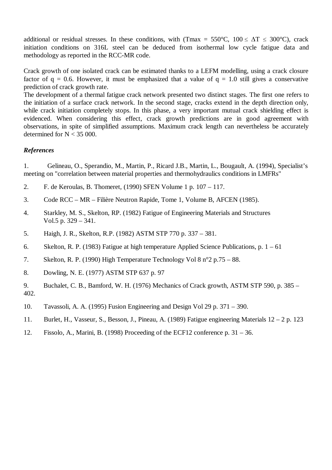additional or residual stresses. In these conditions, with (Tmax = 550°C, 100  $\leq \Delta T \leq 300$ °C), crack initiation conditions on 316L steel can be deduced from isothermal low cycle fatigue data and methodology as reported in the RCC-MR code.

Crack growth of one isolated crack can be estimated thanks to a LEFM modelling, using a crack closure factor of  $q = 0.6$ . However, it must be emphasized that a value of  $q = 1.0$  still gives a conservative prediction of crack growth rate.

The development of a thermal fatigue crack network presented two distinct stages. The first one refers to the initiation of a surface crack network. In the second stage, cracks extend in the depth direction only, while crack initiation completely stops. In this phase, a very important mutual crack shielding effect is evidenced. When considering this effect, crack growth predictions are in good agreement with observations, in spite of simplified assumptions. Maximum crack length can nevertheless be accurately determined for  $N < 35,000$ .

### *References*

1. Gelineau, O., Sperandio, M., Martin, P., Ricard J.B., Martin, L., Bougault, A. (1994), Specialist's meeting on "correlation between material properties and thermohydraulics conditions in LMFRs"

- 2. F. de Keroulas, B. Thomeret, (1990) SFEN Volume 1 p. 107 117.
- 3. Code RCC MR Filière Neutron Rapide, Tome 1, Volume B, AFCEN (1985).
- 4. Starkley, M. S., Skelton, RP. (1982) Fatigue of Engineering Materials and Structures Vol.5 p. 329 – 341.
- 5. Haigh, J. R., Skelton, R.P. (1982) ASTM STP 770 p. 337 381.
- 6. Skelton, R. P. (1983) Fatigue at high temperature Applied Science Publications, p. 1 61
- 7. Skelton, R. P. (1990) High Temperature Technology Vol 8 n°2 p.75 88.
- 8. Dowling, N. E. (1977) ASTM STP 637 p. 97
- 9. Buchalet, C. B., Bamford, W. H. (1976) Mechanics of Crack growth, ASTM STP 590, p. 385 402.
- 10. Tavassoli, A. A. (1995) Fusion Engineering and Design Vol 29 p. 371 390.
- 11. Burlet, H., Vasseur, S., Besson, J., Pineau, A. (1989) Fatigue engineering Materials 12 2 p. 123
- 12. Fissolo, A., Marini, B. (1998) Proceeding of the ECF12 conference p. 31 36.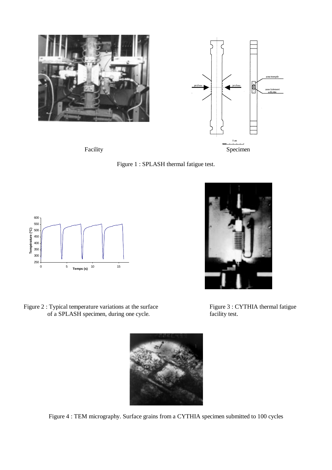







Figure 2 : Typical temperature variations at the surface Figure 3 : CYTHIA thermal fatigue of a SPLASH specimen, during one cycle. facility test.



Figure 4 : TEM micrography. Surface grains from a CYTHIA specimen submitted to 100 cycles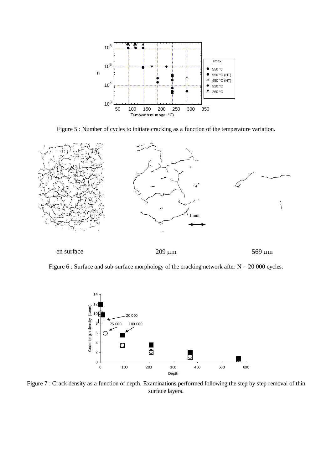

Figure 5 : Number of cycles to initiate cracking as a function of the temperature variation.



en surface  $209 \text{ }\mu\text{m}$  569  $\mu\text{m}$ 

Figure 6 : Surface and sub-surface morphology of the cracking network after  $N = 20000$  cycles.



Figure 7 : Crack density as a function of depth. Examinations performed following the step by step removal of thin surface layers.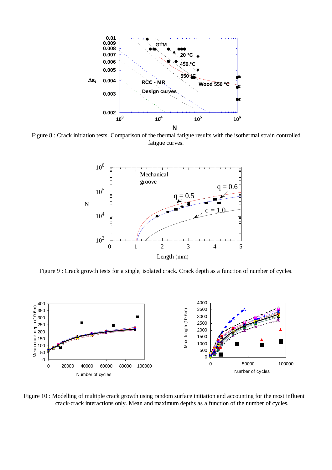

Figure 8 : Crack initiation tests. Comparison of the thermal fatigue results with the isothermal strain controlled fatigue curves.



Figure 9 : Crack growth tests for a single, isolated crack. Crack depth as a function of number of cycles.



Figure 10 : Modelling of multiple crack growth using random surface initiation and accounting for the most influent crack-crack interactions only. Mean and maximum depths as a function of the number of cycles.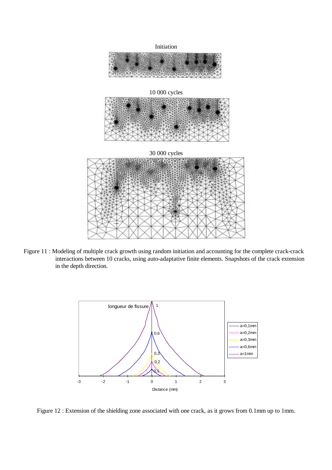

Figure 11 : Modeling of multiple crack growth using random initiation and accounting for the complete crack-crack interactions between 10 cracks, using auto-adaptative finite elements. Snapshots of the crack extension in the depth direction.



Figure 12 : Extension of the shielding zone associated with one crack, as it grows from 0.1mm up to 1mm.